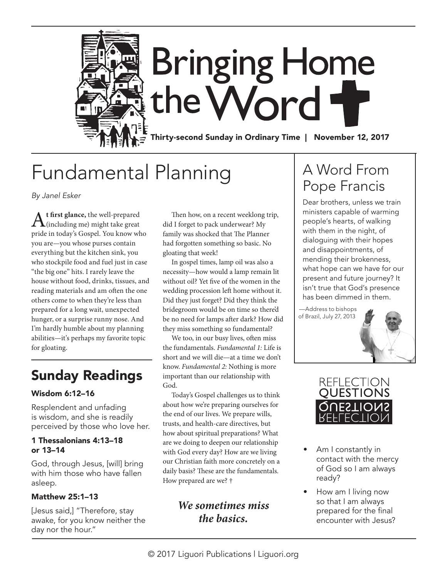

# Fundamental Planning

*By Janel Esker*

A<sup>t first glance, the well-prepared<br>(including me) might take great</sup> pride in today's Gospel. You know who you are—you whose purses contain everything but the kitchen sink, you who stockpile food and fuel just in case "the big one" hits. I rarely leave the house without food, drinks, tissues, and reading materials and am often the one others come to when they're less than prepared for a long wait, unexpected hunger, or a surprise runny nose. And I'm hardly humble about my planning abilities—it's perhaps my favorite topic for gloating.

### Sunday Readings

#### Wisdom 6:12–16

Resplendent and unfading is wisdom, and she is readily perceived by those who love her.

#### 1 Thessalonians 4:13–18 or 13–14

God, through Jesus, [will] bring with him those who have fallen asleep.

#### Matthew 25:1–13

[Jesus said,] "Therefore, stay awake, for you know neither the day nor the hour."

Then how, on a recent weeklong trip, did I forget to pack underwear? My family was shocked that The Planner had forgotten something so basic. No gloating that week!

In gospel times, lamp oil was also a necessity—how would a lamp remain lit without oil? Yet five of the women in the wedding procession left home without it. Did they just forget? Did they think the bridegroom would be on time so there'd be no need for lamps after dark? How did they miss something so fundamental?

We too, in our busy lives, often miss the fundamentals. *Fundamental 1:* Life is short and we will die—at a time we don't know. *Fundamental 2:* Nothing is more important than our relationship with God.

Today's Gospel challenges us to think about how we're preparing ourselves for the end of our lives. We prepare wills, trusts, and health-care directives, but how about spiritual preparations? What are we doing to deepen our relationship with God every day? How are we living our Christian faith more concretely on a daily basis? These are the fundamentals. How prepared are we? †

### *We sometimes miss the basics.*

### A Word From Pope Francis

Dear brothers, unless we train ministers capable of warming people's hearts, of walking with them in the night, of dialoguing with their hopes and disappointments, of mending their brokenness, what hope can we have for our present and future journey? It isn't true that God's presence has been dimmed in them.

—Address to bishops of Brazil, July 27, 2013



- Am I constantly in contact with the mercy of God so I am always ready?
- How am I living now so that I am always prepared for the final encounter with Jesus?